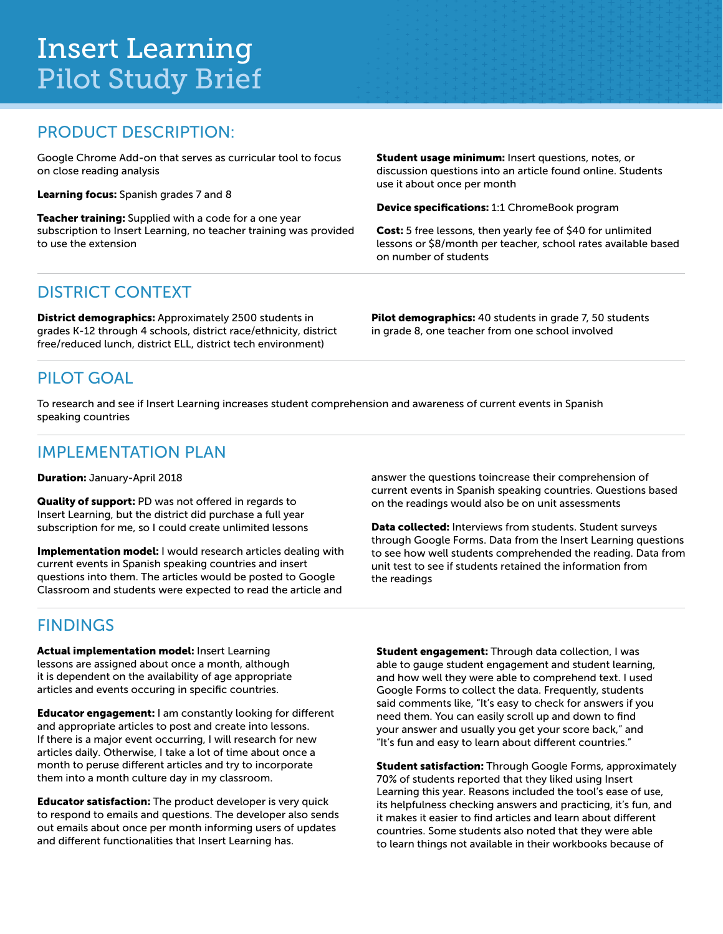# Insert Learning Pilot Study Brief

#### PRODUCT DESCRIPTION:

Google Chrome Add-on that serves as curricular tool to focus on close reading analysis

Learning focus: Spanish grades 7 and 8

Teacher training: Supplied with a code for a one year subscription to Insert Learning, no teacher training was provided to use the extension

**Student usage minimum:** Insert questions, notes, or discussion questions into an article found online. Students use it about once per month

Device specifications: 1:1 ChromeBook program

Cost: 5 free lessons, then yearly fee of \$40 for unlimited lessons or \$8/month per teacher, school rates available based on number of students

## DISTRICT CONTEXT

District demographics: Approximately 2500 students in grades K-12 through 4 schools, district race/ethnicity, district free/reduced lunch, district ELL, district tech environment)

Pilot demographics: 40 students in grade 7, 50 students in grade 8, one teacher from one school involved

## PILOT GOAL

To research and see if Insert Learning increases student comprehension and awareness of current events in Spanish speaking countries

### IMPLEMENTATION PLAN

Duration: January-April 2018

Quality of support: PD was not offered in regards to Insert Learning, but the district did purchase a full year subscription for me, so I could create unlimited lessons

Implementation model: I would research articles dealing with current events in Spanish speaking countries and insert questions into them. The articles would be posted to Google Classroom and students were expected to read the article and

### **FINDINGS**

Actual implementation model: Insert Learning lessons are assigned about once a month, although it is dependent on the availability of age appropriate articles and events occuring in specific countries.

Educator engagement: I am constantly looking for different and appropriate articles to post and create into lessons. If there is a major event occurring, I will research for new articles daily. Otherwise, I take a lot of time about once a month to peruse different articles and try to incorporate them into a month culture day in my classroom.

Educator satisfaction: The product developer is very quick to respond to emails and questions. The developer also sends out emails about once per month informing users of updates and different functionalities that Insert Learning has.

answer the questions toincrease their comprehension of current events in Spanish speaking countries. Questions based on the readings would also be on unit assessments

Data collected: Interviews from students. Student surveys through Google Forms. Data from the Insert Learning questions to see how well students comprehended the reading. Data from unit test to see if students retained the information from the readings

Student engagement: Through data collection, I was able to gauge student engagement and student learning, and how well they were able to comprehend text. I used Google Forms to collect the data. Frequently, students said comments like, "It's easy to check for answers if you need them. You can easily scroll up and down to find your answer and usually you get your score back," and "It's fun and easy to learn about different countries."

**Student satisfaction:** Through Google Forms, approximately 70% of students reported that they liked using Insert Learning this year. Reasons included the tool's ease of use, its helpfulness checking answers and practicing, it's fun, and it makes it easier to find articles and learn about different countries. Some students also noted that they were able to learn things not available in their workbooks because of